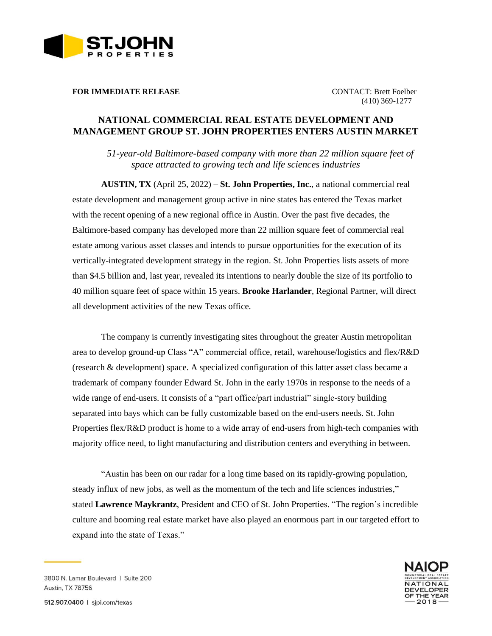

**FOR IMMEDIATE RELEASE CONTACT: Brett Foelber** 

(410) 369-1277

## **NATIONAL COMMERCIAL REAL ESTATE DEVELOPMENT AND MANAGEMENT GROUP ST. JOHN PROPERTIES ENTERS AUSTIN MARKET**

*51-year-old Baltimore-based company with more than 22 million square feet of space attracted to growing tech and life sciences industries*

**AUSTIN, TX** (April 25, 2022) – **St. John Properties, Inc.**, a national commercial real estate development and management group active in nine states has entered the Texas market with the recent opening of a new regional office in Austin. Over the past five decades, the Baltimore-based company has developed more than 22 million square feet of commercial real estate among various asset classes and intends to pursue opportunities for the execution of its vertically-integrated development strategy in the region. St. John Properties lists assets of more than \$4.5 billion and, last year, revealed its intentions to nearly double the size of its portfolio to 40 million square feet of space within 15 years. **Brooke Harlander**, Regional Partner, will direct all development activities of the new Texas office.

The company is currently investigating sites throughout the greater Austin metropolitan area to develop ground-up Class "A" commercial office, retail, warehouse/logistics and flex/R&D (research & development) space. A specialized configuration of this latter asset class became a trademark of company founder Edward St. John in the early 1970s in response to the needs of a wide range of end-users. It consists of a "part office/part industrial" single-story building separated into bays which can be fully customizable based on the end-users needs. St. John Properties flex/R&D product is home to a wide array of end-users from high-tech companies with majority office need, to light manufacturing and distribution centers and everything in between.

"Austin has been on our radar for a long time based on its rapidly-growing population, steady influx of new jobs, as well as the momentum of the tech and life sciences industries," stated **Lawrence Maykrantz**, President and CEO of St. John Properties. "The region's incredible culture and booming real estate market have also played an enormous part in our targeted effort to expand into the state of Texas."



3800 N. Lamar Boulevard | Suite 200 **Austin, TX 78756**